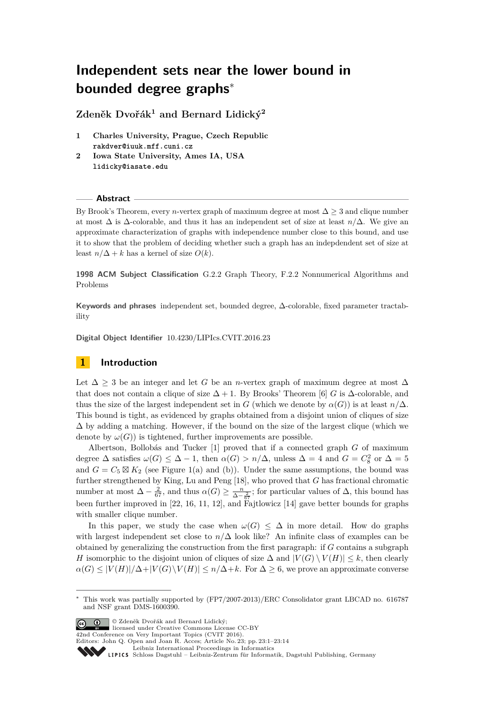# **Independent sets near the lower bound in bounded degree graphs**<sup>∗</sup>

**Zdeněk Dvořák<sup>1</sup> and Bernard Lidický<sup>2</sup>**

- **1 Charles University, Prague, Czech Republic rakdver@iuuk.mff.cuni.cz**
- **2 Iowa State University, Ames IA, USA lidicky@iasate.edu**

# **Abstract**

By Brook's Theorem, every *n*-vertex graph of maximum degree at most  $\Delta > 3$  and clique number at most ∆ is ∆-colorable, and thus it has an independent set of size at least *n/*∆. We give an approximate characterization of graphs with independence number close to this bound, and use it to show that the problem of deciding whether such a graph has an indepdendent set of size at least  $n/\Delta + k$  has a kernel of size  $O(k)$ .

**1998 ACM Subject Classification** G.2.2 Graph Theory, F.2.2 Nonnumerical Algorithms and Problems

**Keywords and phrases** independent set, bounded degree, ∆-colorable, fixed parameter tractability

**Digital Object Identifier** [10.4230/LIPIcs.CVIT.2016.23](http://dx.doi.org/10.4230/LIPIcs.CVIT.2016.23)

# **1 Introduction**

Let  $\Delta > 3$  be an integer and let *G* be an *n*-vertex graph of maximum degree at most  $\Delta$ that does not contain a clique of size  $\Delta + 1$ . By Brooks' Theorem [\[6\]](#page-12-0) *G* is  $\Delta$ -colorable, and thus the size of the largest independent set in *G* (which we denote by  $\alpha(G)$ ) is at least  $n/\Delta$ . This bound is tight, as evidenced by graphs obtained from a disjoint union of cliques of size ∆ by adding a matching. However, if the bound on the size of the largest clique (which we denote by  $\omega(G)$ ) is tightened, further improvements are possible.

Albertson, Bollobás and Tucker [\[1\]](#page-12-1) proved that if a connected graph *G* of maximum degree  $\Delta$  satisfies  $\omega(G) \leq \Delta - 1$ , then  $\alpha(G) > n/\Delta$ , unless  $\Delta = 4$  and  $G = C_8^2$  or  $\Delta = 5$ and  $G = C_5 \boxtimes K_2$  (see Figure [1\(](#page-1-0)a) and (b)). Under the same assumptions, the bound was further strengthened by King, Lu and Peng [\[18\]](#page-13-0), who proved that *G* has fractional chromatic number at most  $\Delta - \frac{2}{67}$ , and thus  $\alpha(G) \ge \frac{n}{\Delta - \frac{2}{67}}$ ; for particular values of  $\Delta$ , this bound has been further improved in [\[22,](#page-13-1) [16,](#page-12-2) [11,](#page-12-3) [12\]](#page-12-4), and Fajtlowicz [\[14\]](#page-12-5) gave better bounds for graphs with smaller clique number.

In this paper, we study the case when  $\omega(G) \leq \Delta$  in more detail. How do graphs with largest independent set close to  $n/\Delta$  look like? An infinite class of examples can be obtained by generalizing the construction from the first paragraph: if *G* contains a subgraph *H* isomorphic to the disjoint union of cliques of size  $\Delta$  and  $|V(G) \setminus V(H)| \leq k$ , then clearly  $\alpha(G) \leq |V(H)|/\Delta + |V(G) \setminus V(H)| \leq n/\Delta + k$ . For  $\Delta \geq 6$ , we prove an approximate converse

© Zdeněk Dvořák and Bernard Lidický; licensed under Creative Commons License CC-BY

42nd Conference on Very Important Topics (CVIT 2016).

Editors: John Q. Open and Joan R. Acces; Article No. 23; pp. 23:1–23[:14](#page-13-2)

<sup>∗</sup> This work was partially supported by (FP7/2007-2013)/ERC Consolidator grant LBCAD no. 616787 and NSF grant DMS-1600390.

[Leibniz International Proceedings in Informatics](http://www.dagstuhl.de/lipics/)

Leibniz international ruse einigs in missimosischen Publishing, Germany<br>LIPICS [Schloss Dagstuhl – Leibniz-Zentrum für Informatik, Dagstuhl Publishing, Germany](http://www.dagstuhl.de)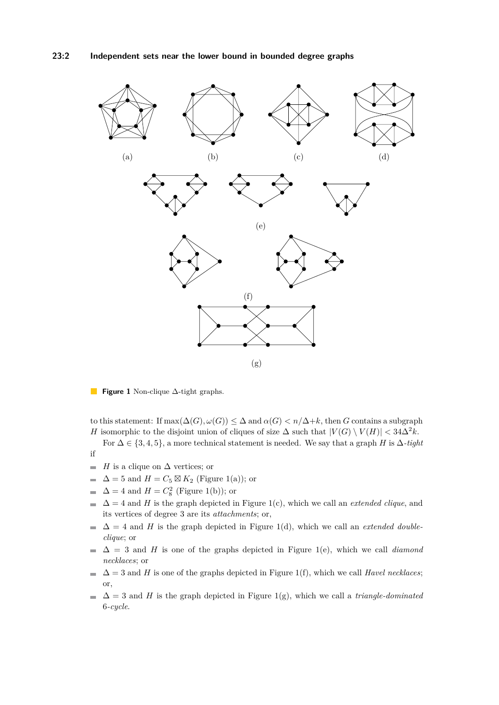<span id="page-1-0"></span>

**Figure 1** Non-clique ∆-tight graphs.

to this statement: If  $\max(\Delta(G), \omega(G)) \leq \Delta$  and  $\alpha(G) < n/\Delta + k$ , then *G* contains a subgraph *H* isomorphic to the disjoint union of cliques of size  $\Delta$  such that  $|V(G) \setminus V(H)| < 34\Delta^2 k$ .

For  $\Delta \in \{3, 4, 5\}$ , a more technical statement is needed. We say that a graph *H* is  $\Delta$ *-tight* if

- *H* is a clique on  $\Delta$  vertices; or  $\blacksquare$
- $\Delta = 5$  and  $H = C_5 \boxtimes K_2$  (Figure [1\(](#page-1-0)a)); or  $\blacksquare$
- $\Delta = 4$  and  $H = C_8^2$  (Figure [1\(](#page-1-0)b)); or  $\overline{a}$
- $\Delta = 4$  and *H* is the graph depicted in Figure [1\(](#page-1-0)c), which we call an *extended clique*, and  $\overline{a}$ its vertices of degree 3 are its *attachments*; or,
- $\Delta = 4$  and *H* is the graph depicted in Figure [1\(](#page-1-0)d), which we call an *extended double-* $\blacksquare$ *clique*; or
- $\mathbf{r}$  $\Delta = 3$  and *H* is one of the graphs depicted in Figure [1\(](#page-1-0)e), which we call *diamond necklaces*; or
- $\Delta = 3$  and *H* is one of the graphs depicted in Figure [1\(](#page-1-0)f), which we call *Havel necklaces*;  $\equiv$ or,
- $\Delta = 3$  and *H* is the graph depicted in Figure [1\(](#page-1-0)g), which we call a *triangle-dominated*  $\sim$ 6*-cycle*.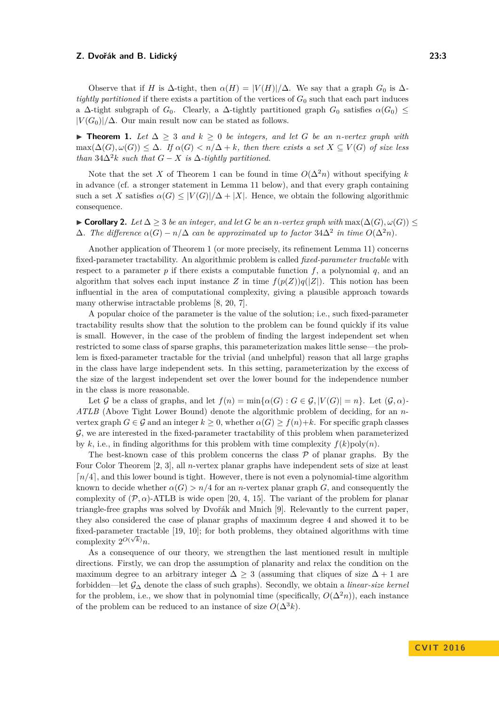Observe that if *H* is  $\Delta$ -tight, then  $\alpha(H) = |V(H)|/\Delta$ . We say that a graph  $G_0$  is  $\Delta$ *tightly partitioned* if there exists a partition of the vertices of *G*<sup>0</sup> such that each part induces a  $\Delta$ -tight subgraph of  $G_0$ . Clearly, a  $\Delta$ -tightly partitioned graph  $G_0$  satisfies  $\alpha(G_0) \leq$  $|V(G_0)|/\Delta$ . Our main result now can be stated as follows.

<span id="page-2-0"></span>**► Theorem 1.** Let  $\Delta \geq 3$  and  $k \geq 0$  be integers, and let G be an *n*-vertex graph with  $\max(\Delta(G), \omega(G)) \leq \Delta$ *. If*  $\alpha(G) < n/\Delta + k$ *, then there exists a set*  $X \subseteq V(G)$  *of size less than*  $34\Delta^2 k$  *such that*  $G - X$  *is*  $\Delta$ *-tightly partitioned.* 

Note that the set *X* of Theorem [1](#page-2-0) can be found in time  $O(\Delta^2 n)$  without specifying *k* in advance (cf. a stronger statement in Lemma [11](#page-8-0) below), and that every graph containing such a set *X* satisfies  $\alpha(G) \leq |V(G)|/\Delta + |X|$ . Hence, we obtain the following algorithmic consequence.

<span id="page-2-1"></span> $\blacktriangleright$  **Corollary 2.** *Let*  $\Delta \geq 3$  *be an integer, and let G be an n-vertex graph with* max( $\Delta(G), \omega(G)$ ) ≤  $\Delta$ *. The difference*  $\alpha(G) - n/\Delta$  *can be approximated up to factor* 34 $\Delta^2$  *in time*  $O(\Delta^2 n)$ *.* 

Another application of Theorem [1](#page-2-0) (or more precisely, its refinement Lemma [11\)](#page-8-0) concerns fixed-parameter tractability. An algorithmic problem is called *fixed-parameter tractable* with respect to a parameter  $p$  if there exists a computable function  $f$ , a polynomial  $q$ , and an algorithm that solves each input instance *Z* in time  $f(p(Z))q(|Z|)$ . This notion has been influential in the area of computational complexity, giving a plausible approach towards many otherwise intractable problems [\[8,](#page-12-6) [20,](#page-13-3) [7\]](#page-12-7).

A popular choice of the parameter is the value of the solution; i.e., such fixed-parameter tractability results show that the solution to the problem can be found quickly if its value is small. However, in the case of the problem of finding the largest independent set when restricted to some class of sparse graphs, this parameterization makes little sense—the problem is fixed-parameter tractable for the trivial (and unhelpful) reason that all large graphs in the class have large independent sets. In this setting, parameterization by the excess of the size of the largest independent set over the lower bound for the independence number in the class is more reasonable.

Let G be a class of graphs, and let  $f(n) = \min{\{\alpha(G) : G \in \mathcal{G}, |V(G)| = n\}}$ . Let  $(\mathcal{G}, \alpha)$ -*ATLB* (Above Tight Lower Bound) denote the algorithmic problem of deciding, for an *n*vertex graph  $G \in \mathcal{G}$  and an integer  $k \geq 0$ , whether  $\alpha(G) \geq f(n)+k$ . For specific graph classes G, we are interested in the fixed-parameter tractability of this problem when parameterized by  $k$ , i.e., in finding algorithms for this problem with time complexity  $f(k)$ poly $(n)$ .

The best-known case of this problem concerns the class  $\mathcal P$  of planar graphs. By the Four Color Theorem [\[2,](#page-12-8) [3\]](#page-12-9), all *n*-vertex planar graphs have independent sets of size at least  $n/4$ , and this lower bound is tight. However, there is not even a polynomial-time algorithm known to decide whether  $\alpha(G) > n/4$  for an *n*-vertex planar graph *G*, and consequently the complexity of  $(\mathcal{P}, \alpha)$ -ATLB is wide open [\[20,](#page-13-3) [4,](#page-12-10) [15\]](#page-12-11). The variant of the problem for planar triangle-free graphs was solved by Dvořák and Mnich [\[9\]](#page-12-12). Relevantly to the current paper, they also considered the case of planar graphs of maximum degree 4 and showed it to be fixed-parameter tractable [\[19,](#page-13-4) [10\]](#page-12-13); for both problems, they obtained algorithms with time complexity  $2^{O(\sqrt{k})}n$ .

As a consequence of our theory, we strengthen the last mentioned result in multiple directions. Firstly, we can drop the assumption of planarity and relax the condition on the maximum degree to an arbitrary integer  $\Delta \geq 3$  (assuming that cliques of size  $\Delta + 1$  are forbidden—let G<sup>∆</sup> denote the class of such graphs). Secondly, we obtain a *linear-size kernel* for the problem, i.e., we show that in polynomial time (specifically,  $O(\Delta^2 n)$ ), each instance of the problem can be reduced to an instance of size  $O(\Delta^3 k)$ .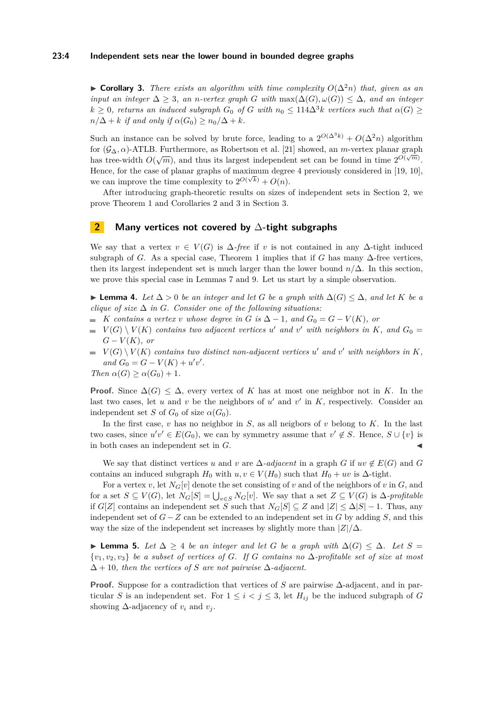#### **23:4 Independent sets near the lower bound in bounded degree graphs**

<span id="page-3-1"></span>**► Corollary 3.** There exists an algorithm with time complexity  $O(\Delta^2 n)$  that, given as an *input an integer*  $\Delta \geq 3$ *, an n-vertex graph G with* max( $\Delta(G), \omega(G) \leq \Delta$ *, and an integer*  $k \geq 0$ , returns an induced subgraph  $G_0$  of  $G$  with  $n_0 \leq 114\Delta^3 k$  vertices such that  $\alpha(G) \geq$  $n/\Delta + k$  *if and only if*  $\alpha(G_0) \geq n_0/\Delta + k$ *.* 

Such an instance can be solved by brute force, leading to a  $2^{O(\Delta^3 k)} + O(\Delta^2 n)$  algorithm for  $(\mathcal{G}_{\Delta}, \alpha)$ -ATLB. Furthermore, as Robertson et al. [\[21\]](#page-13-5) showed, an *m*-vertex planar graph has tree-width  $O(\sqrt{m})$ , and thus its largest independent set can be found in time  $2^{O(\sqrt{m})}$ . Hence, for the case of planar graphs of maximum degree 4 previously considered in  $[19, 10]$  $[19, 10]$ , we can improve the time complexity to  $2^{O(\sqrt{k})} + O(n)$ .

After introducing graph-theoretic results on sizes of independent sets in Section [2,](#page-3-0) we prove Theorem [1](#page-2-0) and Corollaries [2](#page-2-1) and [3](#page-3-1) in Section [3.](#page-8-1)

## <span id="page-3-0"></span>**2 Many vertices not covered by** ∆**-tight subgraphs**

We say that a vertex  $v \in V(G)$  is  $\Delta$ -free if v is not contained in any  $\Delta$ -tight induced subgraph of *G*. As a special case, Theorem [1](#page-2-0) implies that if *G* has many  $\Delta$ -free vertices, then its largest independent set is much larger than the lower bound  $n/\Delta$ . In this section, we prove this special case in Lemmas [7](#page-4-0) and [9.](#page-6-0) Let us start by a simple observation.

<span id="page-3-2"></span>**► Lemma 4.** Let  $\Delta > 0$  be an integer and let G be a graph with  $\Delta(G) \leq \Delta$ , and let K be a *clique of size*  $\Delta$  *in G. Consider one of the following situations:* 

- $\blacksquare$  *K contains a vertex v whose* degree in *G* is  $\Delta 1$ *,* and  $G_0 = G V(K)$ *,* or
- $V(G) \setminus V(K)$  *contains two adjacent vertices u' and v' with neighbors in K, and*  $G_0 =$  $G - V(K)$ *, or*
- $V(G) \setminus V(K)$  *contains two distinct non-adjacent vertices*  $u'$  *and*  $v'$  *with neighbors in*  $K$ *, and*  $G_0 = G - V(K) + u'v'.$

*Then*  $\alpha(G) \geq \alpha(G_0) + 1$ *.* 

**Proof.** Since  $\Delta(G) \leq \Delta$ , every vertex of K has at most one neighbor not in K. In the last two cases, let  $u$  and  $v$  be the neighbors of  $u'$  and  $v'$  in  $K$ , respectively. Consider an independent set *S* of  $G_0$  of size  $\alpha(G_0)$ .

In the first case, *v* has no neighbor in *S*, as all neigbors of *v* belong to *K*. In the last two cases, since  $u'v' \in E(G_0)$ , we can by symmetry assume that  $v' \notin S$ . Hence,  $S \cup \{v\}$  is in both cases an independent set in *G*.

We say that distinct vertices *u* and *v* are  $\Delta$ *-adjacent* in a graph *G* if  $uv \notin E(G)$  and *G* contains an induced subgraph  $H_0$  with  $u, v \in V(H_0)$  such that  $H_0 + uv$  is  $\Delta$ -tight.

For a vertex *v*, let  $N_G[v]$  denote the set consisting of *v* and of the neighbors of *v* in *G*, and for a set  $S \subseteq V(G)$ , let  $N_G[S] = \bigcup_{v \in S} N_G[v]$ . We say that a set  $Z \subseteq V(G)$  is  $\Delta$ -profitable if *G*[*Z*] contains an independent set *S* such that  $N_G[S] ⊆ Z$  and  $|Z| ≤ ∆|S| − 1$ . Thus, any independent set of *G*−*Z* can be extended to an independent set in *G* by adding *S*, and this way the size of the independent set increases by slightly more than |*Z*|*/*∆.

<span id="page-3-3"></span> $\blacktriangleright$  **Lemma 5.** *Let*  $\Delta \geq 4$  *be an integer and let G be a graph with*  $\Delta(G) \leq \Delta$ *. Let S* = {*v*1*, v*2*, v*3} *be a subset of vertices of G. If G contains no* ∆*-profitable set of size at most*  $\Delta + 10$ , then the vertices of *S* are not pairwise  $\Delta$ -adjacent.

Proof. Suppose for a contradiction that vertices of *S* are pairwise ∆-adjacent, and in particular *S* is an independent set. For  $1 \leq i \leq j \leq 3$ , let  $H_{ij}$  be the induced subgraph of *G* showing  $\Delta$ -adjacency of  $v_i$  and  $v_j$ .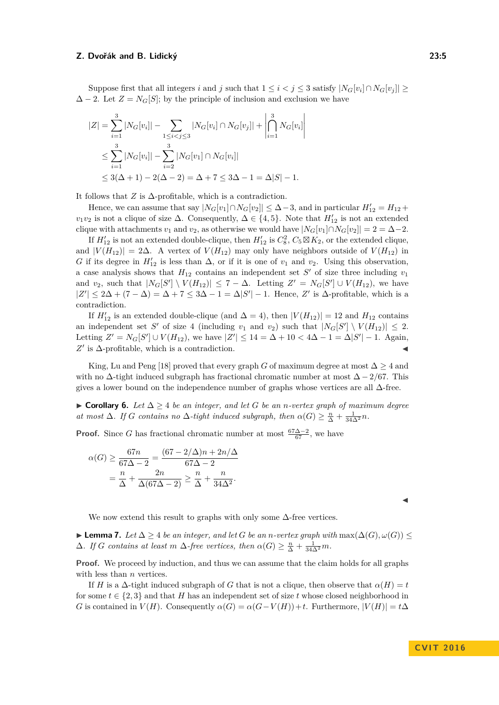Suppose first that all integers *i* and *j* such that  $1 \leq i < j \leq 3$  satisfy  $|N_G[v_i] \cap N_G[v_j]| \geq$  $\Delta - 2$ . Let  $Z = N_G[S]$ ; by the principle of inclusion and exclusion we have

$$
|Z| = \sum_{i=1}^{3} |N_G[v_i]| - \sum_{1 \le i < j \le 3} |N_G[v_i] \cap N_G[v_j]| + \left| \bigcap_{i=1}^{3} N_G[v_i] \right|
$$
  
\n
$$
\le \sum_{i=1}^{3} |N_G[v_i]| - \sum_{i=2}^{3} |N_G[v_1] \cap N_G[v_i]|
$$
  
\n
$$
\le 3(\Delta + 1) - 2(\Delta - 2) = \Delta + 7 \le 3\Delta - 1 = \Delta|S| - 1.
$$

It follows that  $Z$  is  $\Delta$ -profitable, which is a contradiction.

Hence, we can assume that say  $|N_G[v_1] \cap N_G[v_2]| \leq \Delta - 3$ , and in particular  $H'_{12} = H_{12} +$  $v_1v_2$  is not a clique of size  $\Delta$ . Consequently,  $\Delta \in \{4, 5\}$ . Note that  $H'_{12}$  is not an extended clique with attachments  $v_1$  and  $v_2$ , as otherwise we would have  $|N_G[v_1] \cap N_G[v_2]| = 2 = \Delta - 2$ .

If  $H'_{12}$  is not an extended double-clique, then  $H'_{12}$  is  $C_8^2$ ,  $C_5 \boxtimes K_2$ , or the extended clique, and  $|V(H_{12})| = 2\Delta$ . A vertex of  $V(H_{12})$  may only have neighbors outside of  $V(H_{12})$  in *G* if its degree in  $H'_{12}$  is less than  $\Delta$ , or if it is one of  $v_1$  and  $v_2$ . Using this observation, a case analysis shows that  $H_{12}$  contains an independent set  $S'$  of size three including  $v_1$ and *v*<sub>2</sub>, such that  $|N_G[S'] \setminus V(H_{12})| \leq 7 - \Delta$ . Letting  $Z' = N_G[S'] \cup V(H_{12})$ , we have  $|Z'| \leq 2\Delta + (7 - \Delta) = \Delta + 7 \leq 3\Delta - 1 = \Delta |S'| - 1$ . Hence, Z' is  $\Delta$ -profitable, which is a contradiction.

If  $H'_{12}$  is an extended double-clique (and  $\Delta = 4$ ), then  $|V(H_{12})| = 12$  and  $H_{12}$  contains an independent set *S*<sup> $\prime$ </sup> of size 4 (including  $v_1$  and  $v_2$ ) such that  $|N_G[S'] \setminus V(H_{12})| \leq 2$ . Letting  $Z' = N_G[S'] \cup V(H_{12})$ , we have  $|Z'| \leq 14 = \Delta + 10 < 4\Delta - 1 = \Delta|S'| - 1$ . Again,  $Z'$  is  $\Delta$ -profitable, which is a contradiction.

King, Lu and Peng [\[18\]](#page-13-0) proved that every graph *G* of maximum degree at most  $\Delta > 4$  and with no ∆-tight induced subgraph has fractional chromatic number at most ∆ − 2*/*67. This gives a lower bound on the independence number of graphs whose vertices are all  $\Delta$ -free.

<span id="page-4-1"></span>I **Corollary 6.** *Let* ∆ ≥ 4 *be an integer, and let G be an n-vertex graph of maximum degree at most*  $\Delta$ *. If G contains no*  $\Delta$ *-tight induced subgraph, then*  $\alpha(G) \geq \frac{n}{\Delta} + \frac{1}{34\Delta^2}n$ *.* 

**Proof.** Since *G* has fractional chromatic number at most  $\frac{67\Delta-2}{67}$ , we have

$$
\alpha(G) \ge \frac{67n}{67\Delta - 2} = \frac{(67 - 2/\Delta)n + 2n/\Delta}{67\Delta - 2}
$$

$$
= \frac{n}{\Delta} + \frac{2n}{\Delta(67\Delta - 2)} \ge \frac{n}{\Delta} + \frac{n}{34\Delta^2}.
$$

We now extend this result to graphs with only some  $\Delta$ -free vertices.

<span id="page-4-0"></span>► **Lemma 7.** Let  $\Delta \geq 4$  be an integer, and let G be an *n*-vertex graph with  $\max(\Delta(G), \omega(G)) \leq$  $\Delta$ *. If G contains at least m*  $\Delta$ *-free vertices, then*  $\alpha(G) \geq \frac{n}{\Delta} + \frac{1}{34\Delta^2}m$ *.* 

**Proof.** We proceed by induction, and thus we can assume that the claim holds for all graphs with less than *n* vertices.

If *H* is a  $\Delta$ -tight induced subgraph of *G* that is not a clique, then observe that  $\alpha(H) = t$ for some  $t \in \{2, 3\}$  and that *H* has an independent set of size *t* whose closed neighborhood in *G* is contained in  $V(H)$ . Consequently  $\alpha(G) = \alpha(G - V(H)) + t$ . Furthermore,  $|V(H)| = t\Delta$ 

 $\blacktriangleleft$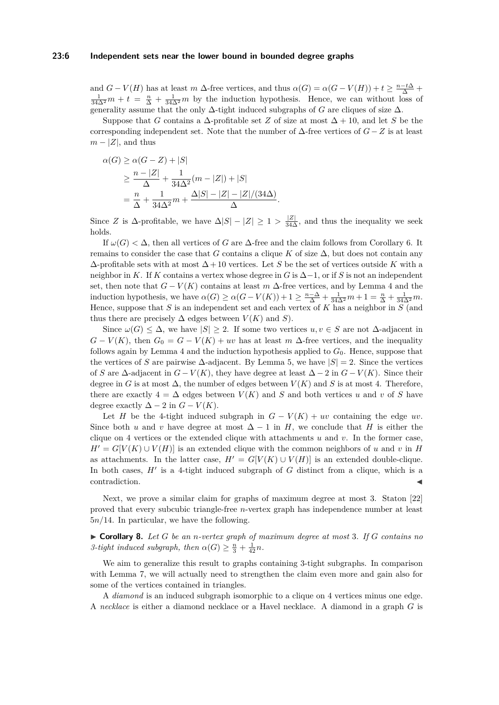#### **23:6 Independent sets near the lower bound in bounded degree graphs**

and  $G - V(H)$  has at least  $m \Delta$ -free vertices, and thus  $\alpha(G) = \alpha(G - V(H)) + t \geq \frac{n-t\Delta}{\Delta} +$  $\frac{1}{34\Delta^2}m+t=\frac{n}{\Delta}+\frac{1}{34\Delta^2}m$  by the induction hypothesis. Hence, we can without loss of generality assume that the only  $\Delta$ -tight induced subgraphs of *G* are cliques of size  $\Delta$ .

Suppose that *G* contains a  $\Delta$ -profitable set *Z* of size at most  $\Delta + 10$ , and let *S* be the corresponding independent set. Note that the number of  $\Delta$ -free vertices of  $G - Z$  is at least  $m - |Z|$ , and thus

$$
\alpha(G) \ge \alpha(G - Z) + |S|
$$
  
\n
$$
\ge \frac{n - |Z|}{\Delta} + \frac{1}{34\Delta^2} (m - |Z|) + |S|
$$
  
\n
$$
= \frac{n}{\Delta} + \frac{1}{34\Delta^2} m + \frac{\Delta|S| - |Z| - |Z|/(34\Delta)}{\Delta}.
$$

Since *Z* is  $\Delta$ -profitable, we have  $\Delta|S| - |Z| \geq 1 > \frac{|Z|}{34\Delta}$ , and thus the inequality we seek holds.

If  $\omega(G) < \Delta$ , then all vertices of *G* are  $\Delta$ -free and the claim follows from Corollary [6.](#page-4-1) It remains to consider the case that *G* contains a clique *K* of size  $\Delta$ , but does not contain any ∆-profitable sets with at most ∆ + 10 vertices. Let *S* be the set of vertices outside *K* with a neighbor in *K*. If *K* contains a vertex whose degree in *G* is ∆−1, or if *S* is not an independent set, then note that  $G - V(K)$  contains at least  $m \Delta$ -free vertices, and by Lemma [4](#page-3-2) and the induction hypothesis, we have  $\alpha(G) \ge \alpha(G - V(K)) + 1 \ge \frac{n-\Delta}{\Delta} + \frac{1}{34\Delta^2}m + 1 = \frac{n}{\Delta} + \frac{1}{34\Delta^2}m$ . Hence, suppose that *S* is an independent set and each vertex of *K* has a neighbor in *S* (and thus there are precisely  $\Delta$  edges between  $V(K)$  and *S*).

Since  $\omega(G) \leq \Delta$ , we have  $|S| \geq 2$ . If some two vertices  $u, v \in S$  are not  $\Delta$ -adjacent in  $G - V(K)$ , then  $G_0 = G - V(K) + uv$  has at least *m* ∆-free vertices, and the inequality follows again by Lemma [4](#page-3-2) and the induction hypothesis applied to  $G_0$ . Hence, suppose that the vertices of *S* are pairwise  $\Delta$ -adjacent. By Lemma [5,](#page-3-3) we have  $|S| = 2$ . Since the vertices of *S* are  $\Delta$ -adjacent in  $G - V(K)$ , they have degree at least  $\Delta - 2$  in  $G - V(K)$ . Since their degree in *G* is at most  $\Delta$ , the number of edges between  $V(K)$  and *S* is at most 4. Therefore, there are exactly  $4 = \Delta$  edges between  $V(K)$  and *S* and both vertices *u* and *v* of *S* have degree exactly  $\Delta - 2$  in  $G - V(K)$ .

Let *H* be the 4-tight induced subgraph in  $G - V(K) + uv$  containing the edge *uv*. Since both *u* and *v* have degree at most  $\Delta - 1$  in *H*, we conclude that *H* is either the clique on 4 vertices or the extended clique with attachments *u* and *v*. In the former case,  $H' = G[V(K) \cup V(H)]$  is an extended clique with the common neighbors of *u* and *v* in *H* as attachments. In the latter case,  $H' = G[V(K) \cup V(H)]$  is an extended double-clique. In both cases,  $H'$  is a 4-tight induced subgraph of  $G$  distinct from a clique, which is a contradiction.

Next, we prove a similar claim for graphs of maximum degree at most 3. Staton [\[22\]](#page-13-1) proved that every subcubic triangle-free *n*-vertex graph has independence number at least 5*n/*14. In particular, we have the following.

<span id="page-5-0"></span>I **Corollary 8.** *Let G be an n-vertex graph of maximum degree at most* 3*. If G contains no 3-tight induced subgraph, then*  $\alpha(G) \geq \frac{n}{3} + \frac{1}{42}n$ .

We aim to generalize this result to graphs containing 3-tight subgraphs. In comparison with Lemma [7,](#page-4-0) we will actually need to strengthen the claim even more and gain also for some of the vertices contained in triangles.

A *diamond* is an induced subgraph isomorphic to a clique on 4 vertices minus one edge. A *necklace* is either a diamond necklace or a Havel necklace. A diamond in a graph *G* is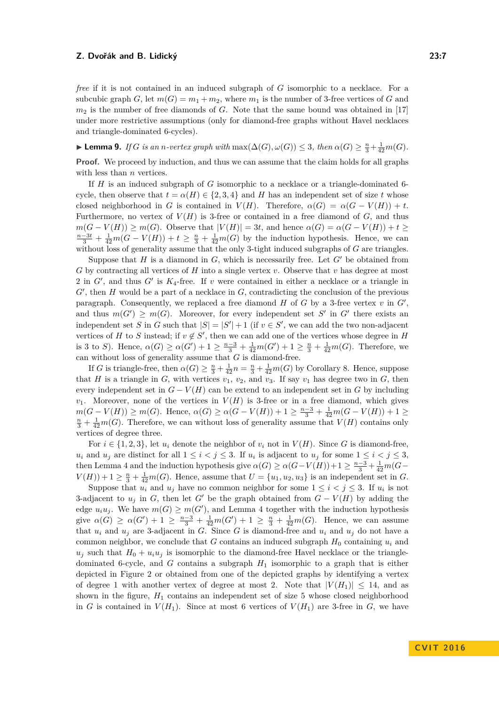*free* if it is not contained in an induced subgraph of *G* isomorphic to a necklace. For a subcubic graph *G*, let  $m(G) = m_1 + m_2$ , where  $m_1$  is the number of 3-free vertices of *G* and  $m_2$  is the number of free diamonds of *G*. Note that the same bound was obtained in [\[17\]](#page-13-6) under more restrictive assumptions (only for diamond-free graphs without Havel necklaces and triangle-dominated 6-cycles).

<span id="page-6-0"></span>► **Lemma 9.** *If G is an n-vertex graph with*  $\max(\Delta(G), \omega(G)) \leq 3$ , *then*  $\alpha(G) \geq \frac{n}{3} + \frac{1}{42}m(G)$ *.* 

**Proof.** We proceed by induction, and thus we can assume that the claim holds for all graphs with less than *n* vertices.

If *H* is an induced subgraph of *G* isomorphic to a necklace or a triangle-dominated 6 cycle, then observe that  $t = \alpha(H) \in \{2, 3, 4\}$  and *H* has an independent set of size *t* whose closed neighborhood in *G* is contained in  $V(H)$ . Therefore,  $\alpha(G) = \alpha(G - V(H)) + t$ . Furthermore, no vertex of  $V(H)$  is 3-free or contained in a free diamond of  $G$ , and thus  $m(G - V(H)) \geq m(G)$ . Observe that  $|V(H)| = 3t$ , and hence  $\alpha(G) = \alpha(G - V(H)) + t \geq$  $\frac{n-3t}{3} + \frac{1}{42}m(G - V(H)) + t \geq \frac{n}{3} + \frac{1}{42}m(G)$  by the induction hypothesis. Hence, we can without loss of generality assume that the only 3-tight induced subgraphs of *G* are triangles.

Suppose that *H* is a diamond in  $G$ , which is necessarily free. Let  $G'$  be obtained from *G* by contracting all vertices of *H* into a single vertex *v*. Observe that *v* has degree at most 2 in  $G'$ , and thus  $G'$  is  $K_4$ -free. If  $v$  were contained in either a necklace or a triangle in  $G'$ , then  $H$  would be a part of a necklace in  $G$ , contradicting the conclusion of the previous paragraph. Consequently, we replaced a free diamond  $H$  of  $G$  by a 3-free vertex  $v$  in  $G'$ , and thus  $m(G') \geq m(G)$ . Moreover, for every independent set S' in G' there exists an independent set *S* in *G* such that  $|S| = |S'| + 1$  (if  $v \in S'$ , we can add the two non-adjacent vertices of *H* to *S* instead; if  $v \notin S'$ , then we can add one of the vertices whose degree in *H* is 3 to *S*). Hence,  $\alpha(G) \ge \alpha(G') + 1 \ge \frac{n-3}{3} + \frac{1}{42}m(G') + 1 \ge \frac{n}{3} + \frac{1}{42}m(G)$ . Therefore, we can without loss of generality assume that  $G$  is diamond-free.

If *G* is triangle-free, then  $\alpha(G) \geq \frac{n}{3} + \frac{1}{42}n = \frac{n}{3} + \frac{1}{42}m(G)$  by Corollary [8.](#page-5-0) Hence, suppose that *H* is a triangle in *G*, with vertices  $v_1$ ,  $v_2$ , and  $v_3$ . If say  $v_1$  has degree two in *G*, then every independent set in  $G - V(H)$  can be extend to an independent set in *G* by including  $v_1$ . Moreover, none of the vertices in  $V(H)$  is 3-free or in a free diamond, which gives  $m(G - V(H)) \ge m(G)$ . Hence,  $\alpha(G) \ge \alpha(G - V(H)) + 1 \ge \frac{n-3}{3} + \frac{1}{42}m(G - V(H)) + 1 \ge \frac{n}{3} + \frac{1}{42}m(G)$ . Therefore, we can without loss of generality assume that  $V(H)$  contains only vertices of degree three.

For  $i \in \{1, 2, 3\}$ , let  $u_i$  denote the neighbor of  $v_i$  not in  $V(H)$ . Since *G* is diamond-free, *u<sub>i</sub>* and *u<sub>j</sub>* are distinct for all  $1 \leq i < j \leq 3$ . If *u<sub>i</sub>* is adjacent to *u<sub>j</sub>* for some  $1 \leq i < j \leq 3$ , then Lemma [4](#page-3-2) and the induction hypothesis give  $\alpha(G) \geq \alpha(G - V(H)) + 1 \geq \frac{n-3}{3} + \frac{1}{42}m(G V(H)$  + 1  $\geq \frac{n}{3} + \frac{1}{42}m(G)$ . Hence, assume that  $U = \{u_1, u_2, u_3\}$  is an independent set in *G*.

Suppose that  $u_i$  and  $u_j$  have no common neighbor for some  $1 \leq i < j \leq 3$ . If  $u_i$  is not 3-adjacent to  $u_j$  in *G*, then let *G*<sup>*'*</sup> be the graph obtained from  $G - V(H)$  by adding the edge  $u_iu_j$ . We have  $m(G) \geq m(G')$ , and Lemma [4](#page-3-2) together with the induction hypothesis give  $\alpha(G) \ge \alpha(G') + 1 \ge \frac{n-3}{3} + \frac{1}{42}m(G') + 1 \ge \frac{n}{3} + \frac{1}{42}m(G)$ . Hence, we can assume that  $u_i$  and  $u_j$  are 3-adjacent in *G*. Since *G* is diamond-free and  $u_i$  and  $u_j$  do not have a common neighbor, we conclude that *G* contains an induced subgraph  $H_0$  containing  $u_i$  and  $u_j$  such that  $H_0 + u_i u_j$  is isomorphic to the diamond-free Havel necklace or the triangledominated 6-cycle, and *G* contains a subgraph *H*<sup>1</sup> isomorphic to a graph that is either depicted in Figure [2](#page-7-0) or obtained from one of the depicted graphs by identifying a vertex of degree 1 with another vertex of degree at most 2. Note that  $|V(H_1)| \leq 14$ , and as shown in the figure, *H*<sup>1</sup> contains an independent set of size 5 whose closed neighborhood in *G* is contained in  $V(H_1)$ . Since at most 6 vertices of  $V(H_1)$  are 3-free in *G*, we have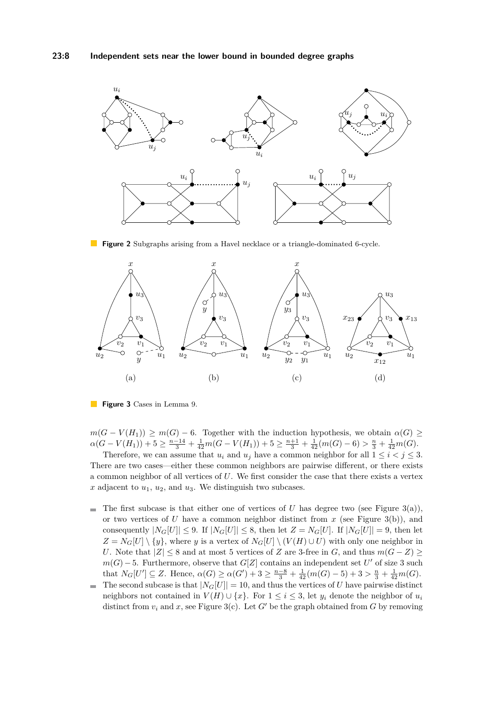<span id="page-7-0"></span>

**Figure 2** Subgraphs arising from a Havel necklace or a triangle-dominated 6-cycle.

<span id="page-7-1"></span>

**Figure 3** Cases in Lemma [9.](#page-6-0)

 $m(G - V(H_1)) \geq m(G) - 6$ . Together with the induction hypothesis, we obtain  $\alpha(G) \geq$  $\alpha(G - V(H_1)) + 5 \geq \frac{n-14}{3} + \frac{1}{42}m(G - V(H_1)) + 5 \geq \frac{n+1}{3} + \frac{1}{42}(m(G) - 6) > \frac{n}{3} + \frac{1}{42}m(G).$ 

Therefore, we can assume that  $u_i$  and  $u_j$  have a common neighbor for all  $1 \leq i \leq j \leq 3$ . There are two cases—either these common neighbors are pairwise different, or there exists a common neighbor of all vertices of *U*. We first consider the case that there exists a vertex  $x$  adjacent to  $u_1$ ,  $u_2$ , and  $u_3$ . We distinguish two subcases.

- The first subcase is that either one of vertices of *U* has degree two (see Figure [3\(](#page-7-1)a)),  $\blacksquare$ or two vertices of *U* have a common neighbor distinct from *x* (see Figure [3\(](#page-7-1)b)), and consequently  $|N_G[U]| \leq 9$ . If  $|N_G[U]| \leq 8$ , then let  $Z = N_G[U]$ . If  $|N_G[U]| = 9$ , then let  $Z = N_G[U] \setminus \{y\}$ , where *y* is a vertex of  $N_G[U] \setminus (V(H) \cup U)$  with only one neighbor in *U*. Note that  $|Z| \leq 8$  and at most 5 vertices of *Z* are 3-free in *G*, and thus  $m(G - Z) \geq$  $m(G) - 5$ . Furthermore, observe that  $G[Z]$  contains an independent set  $U'$  of size 3 such that  $N_G[U'] \subseteq Z$ . Hence,  $\alpha(G) \ge \alpha(G') + 3 \ge \frac{n-8}{3} + \frac{1}{42}(m(G) - 5) + 3 > \frac{n}{3} + \frac{1}{42}m(G)$ .
- The second subcase is that  $|N_G[U]| = 10$ , and thus the vertices of *U* have pairwise distinct  $\mathbf{r}$ neighbors not contained in  $V(H) \cup \{x\}$ . For  $1 \leq i \leq 3$ , let  $y_i$  denote the neighbor of  $u_i$ distinct from  $v_i$  and  $x$ , see Figure [3\(](#page-7-1)c). Let  $G'$  be the graph obtained from  $G$  by removing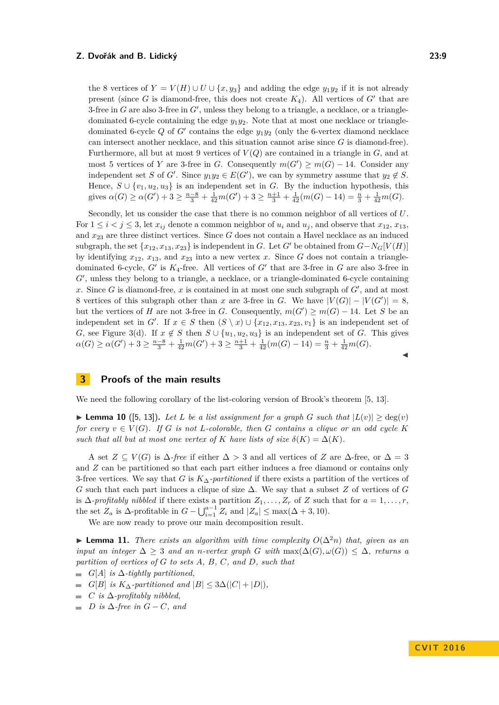the 8 vertices of  $Y = V(H) \cup U \cup \{x, y_3\}$  and adding the edge  $y_1 y_2$  if it is not already present (since  $G$  is diamond-free, this does not create  $K_4$ ). All vertices of  $G'$  that are 3-free in  $G$  are also 3-free in  $G'$ , unless they belong to a triangle, a necklace, or a triangledominated 6-cycle containing the edge *y*1*y*2. Note that at most one necklace or triangledominated 6-cycle  $Q$  of  $G'$  contains the edge  $y_1y_2$  (only the 6-vertex diamond necklace can intersect another necklace, and this situation cannot arise since *G* is diamond-free). Furthermore, all but at most 9 vertices of *V* (*Q*) are contained in a triangle in *G*, and at most 5 vertices of *Y* are 3-free in *G*. Consequently  $m(G') \ge m(G) - 14$ . Consider any independent set *S* of *G*<sup> $\prime$ </sup>. Since  $y_1y_2 \in E(G')$ , we can by symmetry assume that  $y_2 \notin S$ . Hence,  $S \cup \{v_1, u_2, u_3\}$  is an independent set in *G*. By the induction hypothesis, this gives  $\alpha(G) \ge \alpha(G') + 3 \ge \frac{n-8}{3} + \frac{1}{42}m(G') + 3 \ge \frac{n+1}{3} + \frac{1}{42}(m(G) - 14) = \frac{n}{3} + \frac{1}{42}m(G)$ .

Secondly, let us consider the case that there is no common neighbor of all vertices of *U*. For  $1 \leq i \leq j \leq 3$ , let  $x_{ij}$  denote a common neighbor of  $u_i$  and  $u_j$ , and observe that  $x_{12}, x_{13}$ , and *x*<sup>23</sup> are three distinct vertices. Since *G* does not contain a Havel necklace as an induced subgraph, the set  $\{x_{12}, x_{13}, x_{23}\}$  is independent in *G*. Let *G*<sup>*'*</sup> be obtained from  $G - N_G[V(H)]$ by identifying  $x_{12}$ ,  $x_{13}$ , and  $x_{23}$  into a new vertex *x*. Since *G* does not contain a triangledominated 6-cycle,  $G'$  is  $K_4$ -free. All vertices of  $G'$  that are 3-free in  $G$  are also 3-free in G', unless they belong to a triangle, a necklace, or a triangle-dominated 6-cycle containing x. Since *G* is diamond-free, x is contained in at most one such subgraph of  $G'$ , and at most 8 vertices of this subgraph other than *x* are 3-free in *G*. We have  $|V(G)| - |V(G')| = 8$ , but the vertices of *H* are not 3-free in *G*. Consequently,  $m(G') \ge m(G) - 14$ . Let *S* be an independent set in *G*<sup> $\prime$ </sup>. If  $x \in S$  then  $(S \setminus x) \cup \{x_{12}, x_{13}, x_{23}, v_1\}$  is an independent set of *G*, see Figure [3\(](#page-7-1)d). If  $x \notin S$  then  $S \cup \{u_1, u_2, u_3\}$  is an independent set of *G*. This gives  $\alpha(G) \ge \alpha(G') + 3 \ge \frac{n-8}{3} + \frac{1}{42}m(G') + 3 \ge \frac{n+1}{3} + \frac{1}{42}(m(G) - 14) = \frac{n}{3} + \frac{1}{42}m(G).$  $\blacktriangleleft$ 

# <span id="page-8-1"></span>**3 Proofs of the main results**

We need the following corollary of the list-coloring version of Brook's theorem [\[5,](#page-12-14) [13\]](#page-12-15).

<span id="page-8-2"></span>▶ **Lemma 10** ([\[5,](#page-12-14) [13\]](#page-12-15)). Let L be a list assignment for a graph *G* such that  $|L(v)| > deg(v)$ *for every*  $v \in V(G)$ *. If G is not L*-colorable, then *G* contains a clique or an odd cycle K *such that all but at most one vertex of K have lists of size*  $\delta(K) = \Delta(K)$ *.* 

A set  $Z \subseteq V(G)$  is  $\Delta$ -free if either  $\Delta > 3$  and all vertices of *Z* are  $\Delta$ -free, or  $\Delta = 3$ and *Z* can be partitioned so that each part either induces a free diamond or contains only 3-free vertices. We say that *G* is *K*∆*-partitioned* if there exists a partition of the vertices of *G* such that each part induces a clique of size ∆. We say that a subset *Z* of vertices of *G* is  $\Delta$ *-profitably nibbled* if there exists a partition  $Z_1, \ldots, Z_r$  of  $Z$  such that for  $a = 1, \ldots, r$ , the set  $Z_a$  is  $\Delta$ -profitable in  $G - \bigcup_{i=1}^{a-1} Z_i$  and  $|Z_a| \le \max(\Delta + 3, 10)$ .

We are now ready to prove our main decomposition result.

<span id="page-8-0"></span>**► Lemma 11.** *There exists an algorithm with time complexity*  $O(\Delta^2 n)$  *that, given as an input an integer*  $\Delta \geq 3$  *and an n*-vertex graph *G* with  $max(\Delta(G), \omega(G)) \leq \Delta$ , returns a *partition of vertices of G to sets A, B, C, and D, such that*

- $G[A]$  *is*  $\Delta$ -tightly partitioned,
- $G[B]$  *is*  $K_{\Delta}$ -partitioned and  $|B| \leq 3\Delta(|C| + |D|)$ ,
- $\blacksquare$  *C is*  $\Delta$ -profitably nibbled,
- $\blacksquare$  *D* is  $\Delta$ -free in  $G C$ *, and*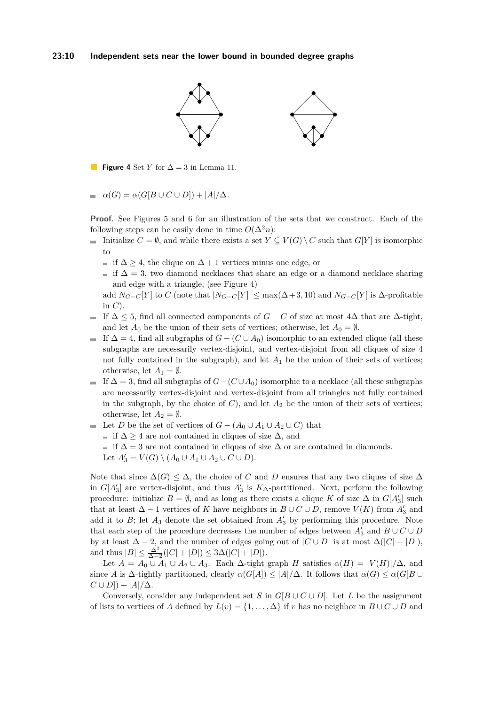<span id="page-9-0"></span>

**Figure 4** Set *Y* for  $\Delta = 3$  in Lemma [11.](#page-8-0)  $\mathbb{R}^n$ 

 $\alpha(G) = \alpha(G[B \cup C \cup D]) + |A|/\Delta$ .  $\blacksquare$ 

**Proof.** See Figures [5](#page-10-0) and [6](#page-10-1) for an illustration of the sets that we construct. Each of the following steps can be easily done in time  $O(\Delta^2 n)$ :

- Initialize  $C = \emptyset$ , and while there exists a set  $Y \subseteq V(G) \setminus C$  such that  $G[Y]$  is isomorphic to
	- $\therefore$  if  $\Delta$  > 4, the clique on  $\Delta$  + 1 vertices minus one edge, or
	- $\text{ }$  if  $\Delta = 3$ , two diamond necklaces that share an edge or a diamond necklace sharing and edge with a triangle, (see Figure [4\)](#page-9-0)

add  $N_{G-G}[Y]$  to  $C$  (note that  $|N_{G-G}[Y]| \le \max(\Delta+3, 10)$  and  $N_{G-G}[Y]$  is  $\Delta$ -profitable in *C*).

- If  $\Delta \leq 5$ , find all connected components of *G* − *C* of size at most  $4\Delta$  that are  $\Delta$ -tight,  $\sim$ and let  $A_0$  be the union of their sets of vertices; otherwise, let  $A_0 = \emptyset$ .
- If  $\Delta = 4$ , find all subgraphs of  $G (C \cup A_0)$  isomorphic to an extended clique (all these  $\mathcal{L}_{\mathcal{A}}$ subgraphs are necessarily vertex-disjoint, and vertex-disjoint from all cliques of size 4 not fully contained in the subgraph), and let  $A_1$  be the union of their sets of vertices; otherwise, let  $A_1 = \emptyset$ .
- $\blacksquare$  If  $\Delta = 3$ , find all subgraphs of *G*−(*C*∪*A*<sub>0</sub>) isomorphic to a necklace (all these subgraphs are necessarily vertex-disjoint and vertex-disjoint from all triangles not fully contained in the subgraph, by the choice of  $C$ ), and let  $A_2$  be the union of their sets of vertices; otherwise, let  $A_2 = \emptyset$ .
- Let *D* be the set of vertices of  $G (A_0 \cup A_1 \cup A_2 \cup C)$  that
	- $\therefore$  if  $\Delta \geq 4$  are not contained in cliques of size  $\Delta$ , and
	- $\blacksquare$  if  $\Delta = 3$  are not contained in cliques of size  $\Delta$  or are contained in diamonds.
	- Let  $A'_3 = V(G) \setminus (A_0 \cup A_1 \cup A_2 \cup C \cup D)$ .

Note that since  $\Delta(G) \leq \Delta$ , the choice of *C* and *D* ensures that any two cliques of size  $\Delta$ in  $G[A_3']$  are vertex-disjoint, and thus  $A_3'$  is  $K_{\Delta}$ -partitioned. Next, perform the following procedure: initialize  $B = \emptyset$ , and as long as there exists a clique *K* of size  $\Delta$  in  $G[A_3']$  such that at least  $\Delta - 1$  vertices of *K* have neighbors in  $B \cup C \cup D$ , remove  $V(K)$  from  $A'_{3}$  and add it to  $B$ ; let  $A_3$  denote the set obtained from  $A'_3$  by performing this procedure. Note that each step of the procedure decreases the number of edges between  $A'_3$  and  $B\cup C\cup D$ by at least  $\Delta - 2$ , and the number of edges going out of  $|C \cup D|$  is at most  $\Delta(|C| + |D|)$ , and thus  $|B| \le \frac{\Delta^2}{\Delta - 2}(|C| + |D|) \le 3\Delta(|C| + |D|).$ 

Let  $A = A_0 \cup A_1 \cup A_2 \cup A_3$ . Each  $\Delta$ -tight graph *H* satisfies  $\alpha(H) = |V(H)|/\Delta$ , and since *A* is  $\Delta$ -tightly partitioned, clearly  $\alpha(G[A]) \le |A|/\Delta$ . It follows that  $\alpha(G) \le \alpha(G[B \cup$  $C \cup D$ ]) +  $|A|/\Delta$ .

Conversely, consider any independent set *S* in  $G[B\cup C\cup D]$ . Let *L* be the assignment of lists to vertices of *A* defined by  $L(v) = \{1, \ldots, \Delta\}$  if *v* has no neighbor in  $B \cup C \cup D$  and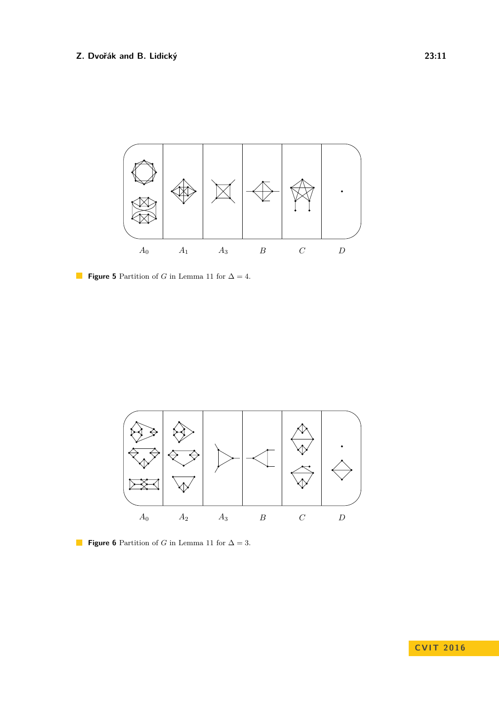<span id="page-10-0"></span>

**Figure 5** Partition of *G* in Lemma [11](#page-8-0) for  $\Delta = 4$ .

<span id="page-10-1"></span>

**Figure 6** Partition of *G* in Lemma [11](#page-8-0) for  $\Delta = 3$ .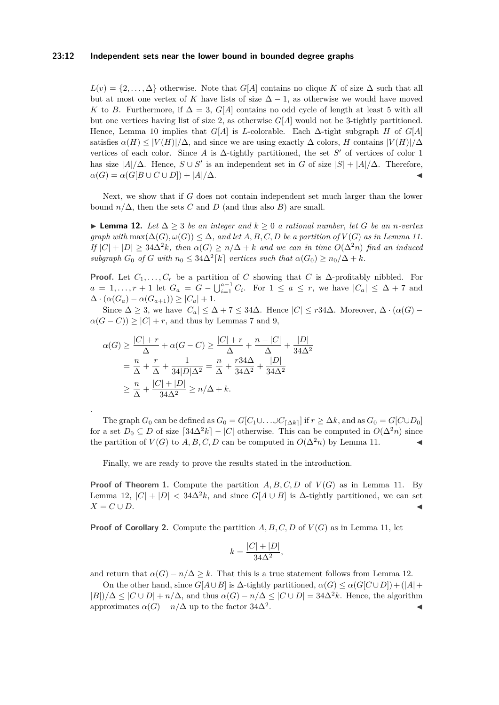#### **23:12 Independent sets near the lower bound in bounded degree graphs**

 $L(v) = \{2, \ldots, \Delta\}$  otherwise. Note that *G[A]* contains no clique *K* of size  $\Delta$  such that all but at most one vertex of *K* have lists of size  $\Delta - 1$ , as otherwise we would have moved *K* to *B*. Furthermore, if  $\Delta = 3$ , *G*[*A*] contains no odd cycle of length at least 5 with all but one vertices having list of size 2, as otherwise *G*[*A*] would not be 3-tightly partitioned. Hence, Lemma [10](#page-8-2) implies that *G*[*A*] is *L*-colorable. Each ∆-tight subgraph *H* of *G*[*A*] satisfies  $\alpha(H) \leq |V(H)|/\Delta$ , and since we are using exactly  $\Delta$  colors, *H* contains  $|V(H)|/\Delta$ vertices of each color. Since *A* is  $\Delta$ -tightly partitioned, the set *S*<sup>'</sup> of vertices of color 1 has size  $|A|/\Delta$ . Hence,  $S \cup S'$  is an independent set in *G* of size  $|S| + |A|/\Delta$ . Therefore,  $\alpha(G) = \alpha(G[B \cup C \cup D]) + |A|/\Delta.$ 

Next, we show that if *G* does not contain independent set much larger than the lower bound  $n/\Delta$ , then the sets *C* and *D* (and thus also *B*) are small.

<span id="page-11-0"></span>**► Lemma 12.** Let  $\Delta > 3$  be an integer and  $k > 0$  a rational number, let G be an *n*-vertex *graph with*  $\max(\Delta(G), \omega(G)) \leq \Delta$ , and let A, B, C, D be a partition of  $V(G)$  as in Lemma [11.](#page-8-0)  $I$ *f*  $|C| + |D| \geq 34\Delta^2 k$ *, then*  $\alpha(G) \geq n/\Delta + k$  *and we can in time*  $O(\Delta^2 n)$  *find an induced subgraph*  $G_0$  *of*  $G$  *with*  $n_0 \leq 34\Delta^2[k]$  *vertices such that*  $\alpha(G_0) \geq n_0/\Delta + k$ *.* 

**Proof.** Let  $C_1, \ldots, C_r$  be a partition of  $C$  showing that  $C$  is  $\Delta$ -profitably nibbled. For  $a = 1, \ldots, r + 1$  let  $G_a = G - \bigcup_{i=1}^{a-1} C_i$ . For  $1 \le a \le r$ , we have  $|C_a| \le \Delta + 7$  and  $\Delta \cdot (\alpha(G_a) - \alpha(G_{a+1})) \geq |C_a| + 1.$ 

Since  $\Delta \geq 3$ , we have  $|C_a| \leq \Delta + 7 \leq 34\Delta$ . Hence  $|C| \leq r34\Delta$ . Moreover,  $\Delta \cdot (\alpha(G) - \Delta)$  $\alpha(G-C)$ ) ≥  $|C|+r$ , and thus by Lemmas [7](#page-4-0) and [9,](#page-6-0)

$$
\alpha(G) \ge \frac{|C| + r}{\Delta} + \alpha(G - C) \ge \frac{|C| + r}{\Delta} + \frac{n - |C|}{\Delta} + \frac{|D|}{34\Delta^2}
$$

$$
= \frac{n}{\Delta} + \frac{r}{\Delta} + \frac{1}{34|D|\Delta^2} = \frac{n}{\Delta} + \frac{r34\Delta}{34\Delta^2} + \frac{|D|}{34\Delta^2}
$$

$$
\ge \frac{n}{\Delta} + \frac{|C| + |D|}{34\Delta^2} \ge n/\Delta + k.
$$

.

The graph  $G_0$  can be defined as  $G_0 = G[C_1 \cup \ldots \cup C_{\lceil \Delta k \rceil}]$  if  $r \geq \Delta k$ , and as  $G_0 = G[C \cup D_0]$ for a set  $D_0 \subseteq D$  of size  $\lceil 34\Delta^2 k \rceil - |C|$  otherwise. This can be computed in  $O(\Delta^2 n)$  since the partition of  $V(G)$  to  $A, B, C, D$  can be computed in  $O(\Delta^2 n)$  by Lemma [11.](#page-8-0)

Finally, we are ready to prove the results stated in the introduction.

**Proof of Theorem [1.](#page-2-0)** Compute the partition  $A, B, C, D$  of  $V(G)$  as in Lemma [11.](#page-8-0) By Lemma [12,](#page-11-0)  $|C| + |D| < 34\Delta^2 k$ , and since  $G[A \cup B]$  is  $\Delta$ -tightly partitioned, we can set  $X = C \cup D$ .

**Proof of Corollary [2.](#page-2-1)** Compute the partition *A, B, C, D* of *V* (*G*) as in Lemma [11,](#page-8-0) let

$$
k = \frac{|C| + |D|}{34\Delta^2},
$$

and return that  $\alpha(G) - n/\Delta > k$ . That this is a true statement follows from Lemma [12.](#page-11-0)

On the other hand, since  $G[A \cup B]$  is  $\Delta$ -tightly partitioned,  $\alpha(G) \leq \alpha(G[C \cup D]) + (|A| +$  $|B|$ )/ $\Delta \leq |C \cup D| + n/\Delta$ , and thus  $\alpha(G) - n/\Delta \leq |C \cup D| = 34\Delta^2 k$ . Hence, the algorithm approximates  $\alpha(G) - n/\Delta$  up to the factor 34 $\Delta^2$ . . John Stein Stein Stein Stein Stein Stein Stein Stein Stein Stein Stein Stein Stein Stein Stein Stein Stein S<br>Die Stein Stein Stein Stein Stein Stein Stein Stein Stein Stein Stein Stein Stein Stein Stein Stein Stein Stei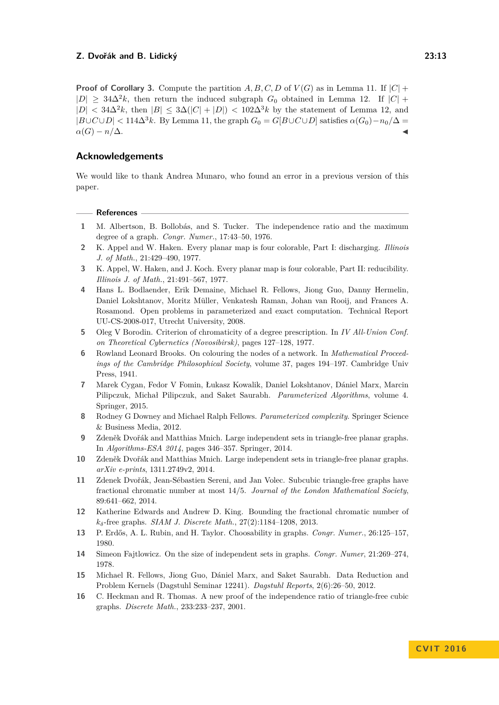**Proof of Corollary [3.](#page-3-1)** Compute the partition *A, B, C, D* of  $V(G)$  as in Lemma [11.](#page-8-0) If  $|C|$  +  $|D|$  ≥ 34 $\Delta^2 k$ , then return the induced subgraph  $G_0$  obtained in Lemma [12.](#page-11-0) If  $|C|$  +  $|D|$  <  $34\Delta^2k$ , then  $|B|$  <  $3\Delta(|C| + |D|)$  <  $102\Delta^3k$  by the statement of Lemma [12,](#page-11-0) and  $|B\cup C\cup D|$  < 114 $\Delta^{3}k$ . By Lemma [11,](#page-8-0) the graph  $G_0 = G[B\cup C\cup D]$  satisfies  $\alpha(G_0) - n_0/\Delta =$  $\alpha(G) - n/\Delta$ .

# **Acknowledgements**

We would like to thank Andrea Munaro, who found an error in a previous version of this paper.

#### **References**

- <span id="page-12-1"></span>**1** M. Albertson, B. Bollobás, and S. Tucker. The independence ratio and the maximum degree of a graph. *Congr. Numer.*, 17:43–50, 1976.
- <span id="page-12-8"></span>**2** K. Appel and W. Haken. Every planar map is four colorable, Part I: discharging. *Illinois J. of Math.*, 21:429–490, 1977.
- <span id="page-12-9"></span>**3** K. Appel, W. Haken, and J. Koch. Every planar map is four colorable, Part II: reducibility. *Illinois J. of Math.*, 21:491–567, 1977.
- <span id="page-12-10"></span>**4** Hans L. Bodlaender, Erik Demaine, Michael R. Fellows, Jiong Guo, Danny Hermelin, Daniel Lokshtanov, Moritz Müller, Venkatesh Raman, Johan van Rooij, and Frances A. Rosamond. Open problems in parameterized and exact computation. Technical Report UU-CS-2008-017, Utrecht University, 2008.
- <span id="page-12-14"></span>**5** Oleg V Borodin. Criterion of chromaticity of a degree prescription. In *IV All-Union Conf. on Theoretical Cybernetics (Novosibirsk)*, pages 127–128, 1977.
- <span id="page-12-0"></span>**6** Rowland Leonard Brooks. On colouring the nodes of a network. In *Mathematical Proceedings of the Cambridge Philosophical Society*, volume 37, pages 194–197. Cambridge Univ Press, 1941.
- <span id="page-12-7"></span>**7** Marek Cygan, Fedor V Fomin, Łukasz Kowalik, Daniel Lokshtanov, Dániel Marx, Marcin Pilipczuk, Michał Pilipczuk, and Saket Saurabh. *Parameterized Algorithms*, volume 4. Springer, 2015.
- <span id="page-12-6"></span>**8** Rodney G Downey and Michael Ralph Fellows. *Parameterized complexity*. Springer Science & Business Media, 2012.
- <span id="page-12-12"></span>**9** Zdeněk Dvořák and Matthias Mnich. Large independent sets in triangle-free planar graphs. In *Algorithms-ESA 2014*, pages 346–357. Springer, 2014.
- <span id="page-12-13"></span>**10** Zdeněk Dvořák and Matthias Mnich. Large independent sets in triangle-free planar graphs. *arXiv e-prints*, 1311.2749v2, 2014.
- <span id="page-12-3"></span>**11** Zdenek Dvořák, Jean-Sébastien Sereni, and Jan Volec. Subcubic triangle-free graphs have fractional chromatic number at most 14/5. *Journal of the London Mathematical Society*, 89:641–662, 2014.
- <span id="page-12-4"></span>**12** Katherine Edwards and Andrew D. King. Bounding the fractional chromatic number of *kδ*-free graphs. *SIAM J. Discrete Math.*, 27(2):1184–1208, 2013.
- <span id="page-12-15"></span>**13** P. Erdős, A. L. Rubin, and H. Taylor. Choosability in graphs. *Congr. Numer.*, 26:125–157, 1980.
- <span id="page-12-5"></span>**14** Simeon Fajtlowicz. On the size of independent sets in graphs. *Congr. Numer*, 21:269–274, 1978.
- <span id="page-12-11"></span>**15** Michael R. Fellows, Jiong Guo, Dániel Marx, and Saket Saurabh. Data Reduction and Problem Kernels (Dagstuhl Seminar 12241). *Dagstuhl Reports*, 2(6):26–50, 2012.
- <span id="page-12-2"></span>**16** C. Heckman and R. Thomas. A new proof of the independence ratio of triangle-free cubic graphs. *Discrete Math.*, 233:233–237, 2001.